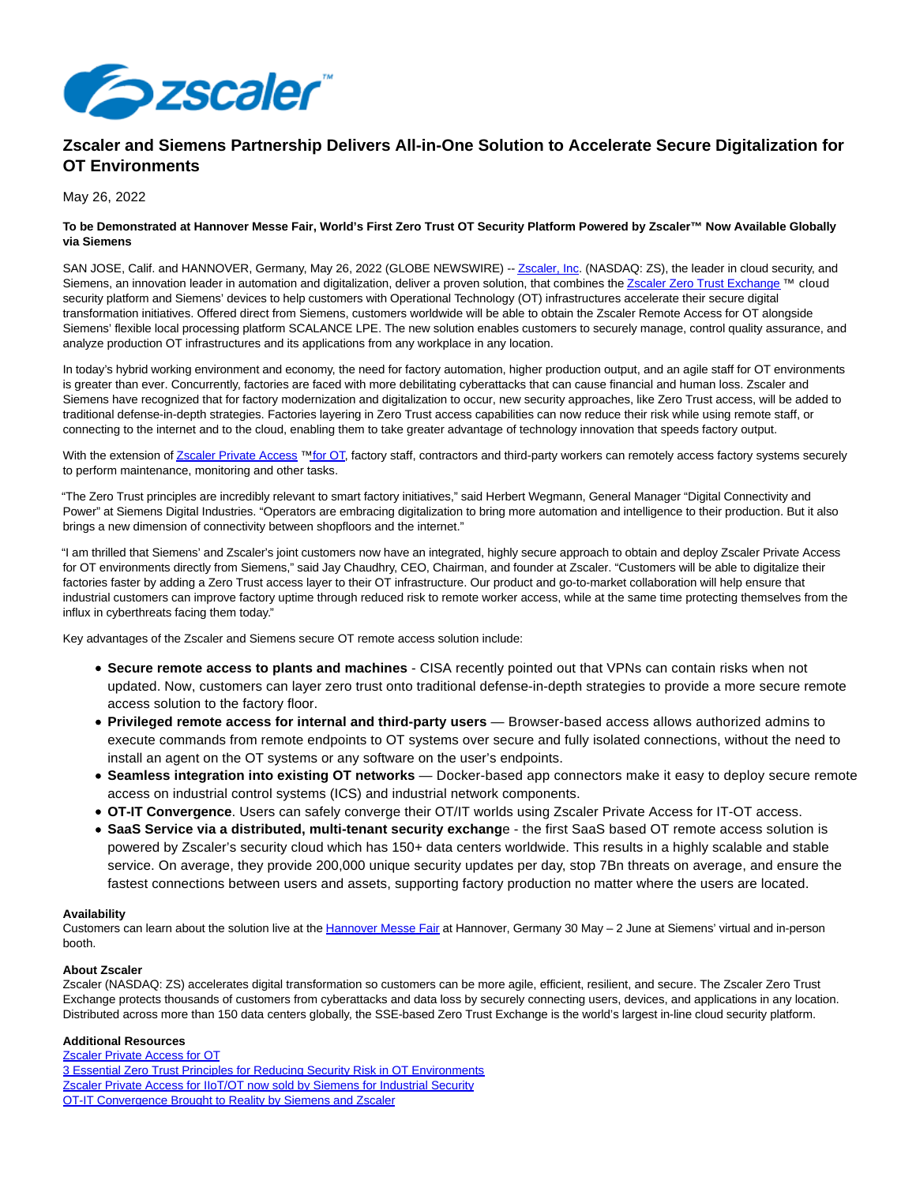

# **Zscaler and Siemens Partnership Delivers All-in-One Solution to Accelerate Secure Digitalization for OT Environments**

# May 26, 2022

# **To be Demonstrated at Hannover Messe Fair, World's First Zero Trust OT Security Platform Powered by Zscaler™ Now Available Globally via Siemens**

SAN JOSE, Calif. and HANNOVER, Germany, May 26, 2022 (GLOBE NEWSWIRE) -[- Zscaler, Inc.](https://www.globenewswire.com/Tracker?data=PRfw-7mV4vYDxeHbFINb8ZqcQtdvTTTsvkD_J4btlgkRv2YSlZwhZfn7Xz2VAQetGL-nSqHNLWy-9sx2GEKB0A==) (NASDAQ: ZS), the leader in cloud security, and Siemens, an innovation leader in automation and digitalization, deliver a proven solution, that combines th[e Zscaler Zero Trust Exchange](https://www.globenewswire.com/Tracker?data=PRfw-7mV4vYDxeHbFINb8f7NdVguN4y9MSPy5FPIOJHaKX2MIMMOwY8V40Abv8lct6tkR_6ABQ90DRUrk1gGSRbRUIMmU40eEUHoZY6BiLKK6E2t40oTNJ0wXq3WIYxR4Jkie9QWIX27RLJiWLSGU9LmjmdlQMBjxB4Z0UeyLKrxGP5qeE8UUWsSsLiMrU4CbRruJTpmmDho_r0aGs7s9HVnryH3ut8jG6T_HAZ9oqU=) ™ cloud security platform and Siemens' devices to help customers with Operational Technology (OT) infrastructures accelerate their secure digital transformation initiatives. Offered direct from Siemens, customers worldwide will be able to obtain the Zscaler Remote Access for OT alongside Siemens' flexible local processing platform SCALANCE LPE. The new solution enables customers to securely manage, control quality assurance, and analyze production OT infrastructures and its applications from any workplace in any location.

In today's hybrid working environment and economy, the need for factory automation, higher production output, and an agile staff for OT environments is greater than ever. Concurrently, factories are faced with more debilitating cyberattacks that can cause financial and human loss. Zscaler and Siemens have recognized that for factory modernization and digitalization to occur, new security approaches, like Zero Trust access, will be added to traditional defense-in-depth strategies. Factories layering in Zero Trust access capabilities can now reduce their risk while using remote staff, or connecting to the internet and to the cloud, enabling them to take greater advantage of technology innovation that speeds factory output.

With the extension o[f Zscaler Private Access](https://www.globenewswire.com/Tracker?data=PRfw-7mV4vYDxeHbFINb8Si7mobypNq3RNaCYE8OFoUfyApOpjpBLgno9O52Q7tQlcKq-Uj1a1cTNf5HQsgFWJLXHHiPBdIQqB63-2ApkBdMcgjZxlx2rvRFlZYp4g1mqbepuvAyJifQFPg5H0NUxH3XemTmhtEkzxs57dquEII=) ™ [for OT,](https://www.globenewswire.com/Tracker?data=xth4kOG6Mg6a6F7x_NFI0HighBiHIodOC-O6FNzz9DyptMd9SmE2NWmHiKwABLNiSMmh39qxMAiu5wafPq4GXz59ebh35GRdEal7t1g5fBCXYLqYdLMjhAG43Es2kdVyo4ljs1JwOmhlBVZkMTHS7A==) factory staff, contractors and third-party workers can remotely access factory systems securely to perform maintenance, monitoring and other tasks.

"The Zero Trust principles are incredibly relevant to smart factory initiatives," said Herbert Wegmann, General Manager "Digital Connectivity and Power" at Siemens Digital Industries. "Operators are embracing digitalization to bring more automation and intelligence to their production. But it also brings a new dimension of connectivity between shopfloors and the internet."

"I am thrilled that Siemens' and Zscaler's joint customers now have an integrated, highly secure approach to obtain and deploy Zscaler Private Access for OT environments directly from Siemens," said Jay Chaudhry, CEO, Chairman, and founder at Zscaler. "Customers will be able to digitalize their factories faster by adding a Zero Trust access layer to their OT infrastructure. Our product and go-to-market collaboration will help ensure that industrial customers can improve factory uptime through reduced risk to remote worker access, while at the same time protecting themselves from the influx in cyberthreats facing them today."

Key advantages of the Zscaler and Siemens secure OT remote access solution include:

- **Secure remote access to plants and machines** CISA recently pointed out that VPNs can contain risks when not updated. Now, customers can layer zero trust onto traditional defense-in-depth strategies to provide a more secure remote access solution to the factory floor.
- **Privileged remote access for internal and third-party users** Browser-based access allows authorized admins to execute commands from remote endpoints to OT systems over secure and fully isolated connections, without the need to install an agent on the OT systems or any software on the user's endpoints.
- **Seamless integration into existing OT networks** Docker-based app connectors make it easy to deploy secure remote access on industrial control systems (ICS) and industrial network components.
- **OT-IT Convergence**. Users can safely converge their OT/IT worlds using Zscaler Private Access for IT-OT access.
- **SaaS Service via a distributed, multi-tenant security exchang**e the first SaaS based OT remote access solution is powered by Zscaler's security cloud which has 150+ data centers worldwide. This results in a highly scalable and stable service. On average, they provide 200,000 unique security updates per day, stop 7Bn threats on average, and ensure the fastest connections between users and assets, supporting factory production no matter where the users are located.

### **Availability**

Customers can learn about the solution live at the [Hannover Messe Fair a](https://www.globenewswire.com/Tracker?data=u3-0asygaIt5RSsePLyMRpmt9XzpSvu_cPGlRFagpnTYPxN7fhSw8chGhTcUMXNAPhfYBiaiBFcWhUxEc8hJ1uFjT_Hbx7YM9tLUhX-0_UbYpipvFYW346xOdOxyhuz6gM9bdWsa6TkNeLj9zgytOTNGt0RMtiLxbVlvH2WxzYwuetIsOtAlKUyAoVr4qLbRqt0WtIpwMV2GEHZa_rRh6g==)t Hannover, Germany 30 May - 2 June at Siemens' virtual and in-person booth.

# **About Zscaler**

Zscaler (NASDAQ: ZS) accelerates digital transformation so customers can be more agile, efficient, resilient, and secure. The Zscaler Zero Trust Exchange protects thousands of customers from cyberattacks and data loss by securely connecting users, devices, and applications in any location. Distributed across more than 150 data centers globally, the SSE-based Zero Trust Exchange is the world's largest in-line cloud security platform.

### **Additional Resources**

[Zscaler Private Access for OT](https://www.globenewswire.com/Tracker?data=PRfw-7mV4vYDxeHbFINb8Si7mobypNq3RNaCYE8OFoUdsoRM3_dv4XjxXqb4QGGMjrPi-j4wO2hPGYh5xszhSGAx2zOJDdBwWcRLHSas4oi4cqrwdxerOs-9Y0KYowdfiahB80_6txPL_xze0FfRt1DvdcsITmQ2X7DmIgi_8Zw=) [3 Essential Zero Trust Principles for Reducing Security Risk in OT Environments](https://www.globenewswire.com/Tracker?data=HKxEf5K0Je1sSnqKNx_-qQgs5sZdhBmausAagRe-ISDVCKqIuFvb1rAMP9bRZtQitZ9rIiqt4nVKxykjEOcgB0FbMzTaN4GeNmjjiI7ZylvYNreBSIhn1rdoXrOsmEn5VjfkxGXkm-A_kCYSli-eFG6lkj1nWmbyLVWYGnDhDBAX1UG4F2qHHBsMleq8VGPpXgHRw52CYlSjD8bUsrr3Taxjg8l582Ea4AY3HHaU8c-fJ1-CGTmfv6Y4eT6cFCUu) [Zscaler Private Access for IIoT/OT now sold by Siemens for Industrial Security](https://www.globenewswire.com/Tracker?data=PRfw-7mV4vYDxeHbFINb8Si7mobypNq3RNaCYE8OFoVRB5NjN_hZPJ1bq5sSTOTTxHAkNWmJ1nffiKirs4lEG9oHB_X1ILtpJwfYasUOdG7ItS8yOuVofe7A57IE3Zou82_9Ty4G05HHIi81_TjDvxJ0YOmlvh9k51k0RRpQ7KIRxqdcc7WSsU5NaQbOdxIRwmmGFGSAbXD7YgVjk2Wo2JiMTFi7K4SGo-iEsn82MwDqRSrsEegqOCyS8QrAg6iPlRXn__Au-xm-vsPGqrsMfw==) [OT-IT Convergence Brought to Reality by Siemens and Zscaler](https://www.globenewswire.com/Tracker?data=eaTmsySn6RVxCx8wUC44jvq9gjgRq2XfybhGYbw7nPA8nBhOW_99fDE4ueVziXlzP76PNwoR9TopRp3vokoZbX1JkCOuWszGjGDrRfV13qN6NomhO3YUbSsUclTdTRpbVnf7s8IYsX3jk2eg69rRs-OoNctU93LKqkRnFImn_Z3tr8Qfv1mXT9-pq2EY0OhKIdDGsqi9ziu32lHrMUT_FcTeXvpD1YFozC5F1rTg9T_3BvTIwlppQqvPGpwC-11X)